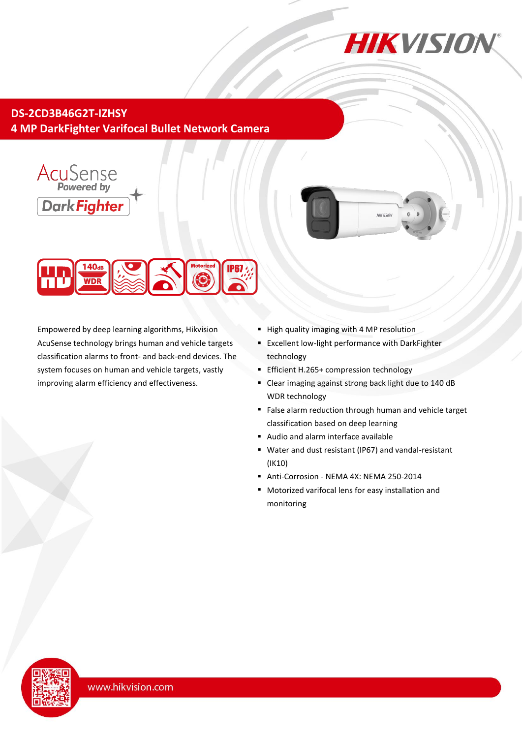

# **DS-2CD3B46G2T-IZHSY 4 MP DarkFighter Varifocal Bullet Network Camera**





Empowered by deep learning algorithms, Hikvision AcuSense technology brings human and vehicle targets classification alarms to front- and back-end devices. The system focuses on human and vehicle targets, vastly improving alarm efficiency and effectiveness.

- High quality imaging with 4 MP resolution
- **Excellent low-light performance with DarkFighter** technology

HIKVISI

- **Efficient H.265+ compression technology**
- Clear imaging against strong back light due to 140 dB WDR technology
- False alarm reduction through human and vehicle target classification based on deep learning
- Audio and alarm interface available
- Water and dust resistant (IP67) and vandal-resistant (IK10)
- Anti-Corrosion NEMA 4X: NEMA 250-2014
- Motorized varifocal lens for easy installation and monitoring

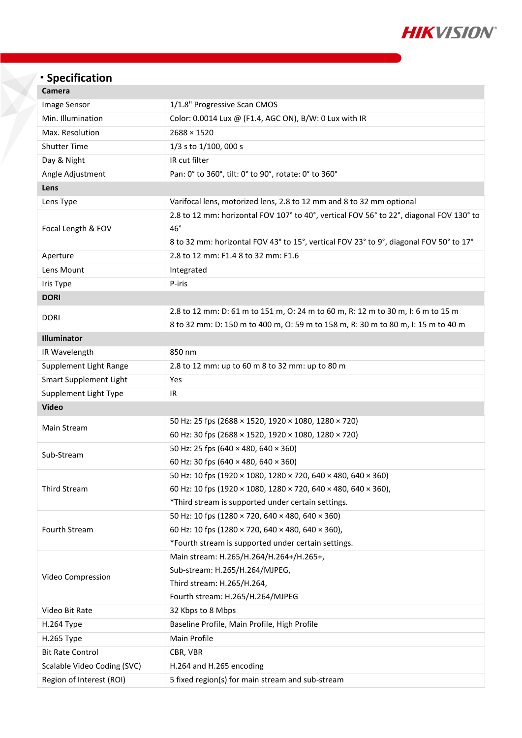

# **Specification**

| Image Sensor                | 1/1.8" Progressive Scan CMOS                                                            |  |  |
|-----------------------------|-----------------------------------------------------------------------------------------|--|--|
| Min. Illumination           | Color: 0.0014 Lux @ (F1.4, AGC ON), B/W: 0 Lux with IR                                  |  |  |
| Max. Resolution             | $2688 \times 1520$                                                                      |  |  |
| <b>Shutter Time</b>         | 1/3 s to 1/100, 000 s                                                                   |  |  |
| Day & Night                 | IR cut filter                                                                           |  |  |
| Angle Adjustment            | Pan: 0° to 360°, tilt: 0° to 90°, rotate: 0° to 360°                                    |  |  |
| Lens                        |                                                                                         |  |  |
| Lens Type                   | Varifocal lens, motorized lens, 2.8 to 12 mm and 8 to 32 mm optional                    |  |  |
| Focal Length & FOV          | 2.8 to 12 mm: horizontal FOV 107° to 40°, vertical FOV 56° to 22°, diagonal FOV 130° to |  |  |
|                             | 46°                                                                                     |  |  |
|                             | 8 to 32 mm: horizontal FOV 43° to 15°, vertical FOV 23° to 9°, diagonal FOV 50° to 17°  |  |  |
| Aperture                    | 2.8 to 12 mm: F1.4 8 to 32 mm: F1.6                                                     |  |  |
| Lens Mount                  | Integrated                                                                              |  |  |
| Iris Type                   | P-iris                                                                                  |  |  |
| <b>DORI</b>                 |                                                                                         |  |  |
|                             | 2.8 to 12 mm: D: 61 m to 151 m, O: 24 m to 60 m, R: 12 m to 30 m, I: 6 m to 15 m        |  |  |
| <b>DORI</b>                 | 8 to 32 mm: D: 150 m to 400 m, O: 59 m to 158 m, R: 30 m to 80 m, I: 15 m to 40 m       |  |  |
| Illuminator                 |                                                                                         |  |  |
| IR Wavelength               | 850 nm                                                                                  |  |  |
| Supplement Light Range      | 2.8 to 12 mm: up to 60 m 8 to 32 mm: up to 80 m                                         |  |  |
| Smart Supplement Light      | Yes                                                                                     |  |  |
| Supplement Light Type       | IR                                                                                      |  |  |
| <b>Video</b>                |                                                                                         |  |  |
|                             | 50 Hz: 25 fps (2688 × 1520, 1920 × 1080, 1280 × 720)                                    |  |  |
| Main Stream                 | 60 Hz: 30 fps (2688 × 1520, 1920 × 1080, 1280 × 720)                                    |  |  |
|                             | 50 Hz: 25 fps (640 × 480, 640 × 360)                                                    |  |  |
| Sub-Stream                  | 60 Hz: 30 fps (640 $\times$ 480, 640 $\times$ 360)                                      |  |  |
|                             | 50 Hz: 10 fps (1920 × 1080, 1280 × 720, 640 × 480, 640 × 360)                           |  |  |
| <b>Third Stream</b>         | 60 Hz: 10 fps (1920 × 1080, 1280 × 720, 640 × 480, 640 × 360),                          |  |  |
|                             | *Third stream is supported under certain settings.                                      |  |  |
| Fourth Stream               | 50 Hz: 10 fps (1280 × 720, 640 × 480, 640 × 360)                                        |  |  |
|                             | 60 Hz: 10 fps (1280 × 720, 640 × 480, 640 × 360),                                       |  |  |
|                             | *Fourth stream is supported under certain settings.                                     |  |  |
| Video Compression           | Main stream: H.265/H.264/H.264+/H.265+,                                                 |  |  |
|                             | Sub-stream: H.265/H.264/MJPEG,                                                          |  |  |
|                             | Third stream: H.265/H.264,                                                              |  |  |
|                             | Fourth stream: H.265/H.264/MJPEG                                                        |  |  |
| Video Bit Rate              | 32 Kbps to 8 Mbps                                                                       |  |  |
| H.264 Type                  | Baseline Profile, Main Profile, High Profile                                            |  |  |
| H.265 Type                  | Main Profile                                                                            |  |  |
| <b>Bit Rate Control</b>     | CBR, VBR                                                                                |  |  |
| Scalable Video Coding (SVC) | H.264 and H.265 encoding                                                                |  |  |
| Region of Interest (ROI)    | 5 fixed region(s) for main stream and sub-stream                                        |  |  |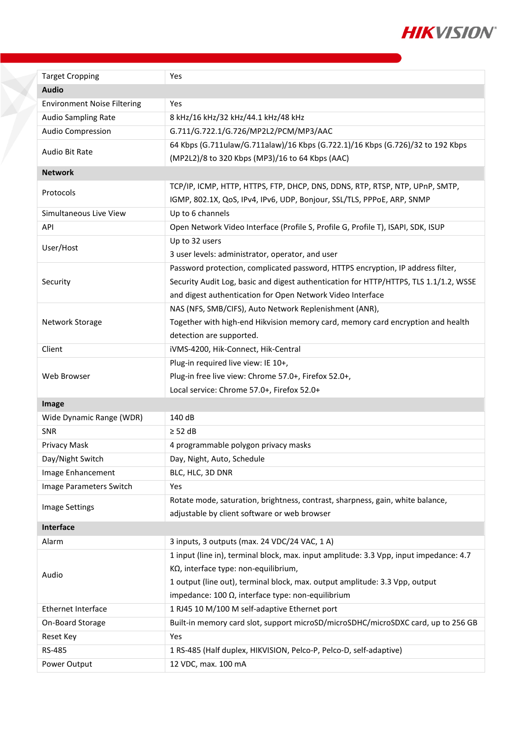

| <b>Target Cropping</b>             | Yes                                                                                    |
|------------------------------------|----------------------------------------------------------------------------------------|
| <b>Audio</b>                       |                                                                                        |
| <b>Environment Noise Filtering</b> | Yes                                                                                    |
| <b>Audio Sampling Rate</b>         | 8 kHz/16 kHz/32 kHz/44.1 kHz/48 kHz                                                    |
| Audio Compression                  | G.711/G.722.1/G.726/MP2L2/PCM/MP3/AAC                                                  |
| Audio Bit Rate                     | 64 Kbps (G.711ulaw/G.711alaw)/16 Kbps (G.722.1)/16 Kbps (G.726)/32 to 192 Kbps         |
|                                    | (MP2L2)/8 to 320 Kbps (MP3)/16 to 64 Kbps (AAC)                                        |
| <b>Network</b>                     |                                                                                        |
| Protocols                          | TCP/IP, ICMP, HTTP, HTTPS, FTP, DHCP, DNS, DDNS, RTP, RTSP, NTP, UPnP, SMTP,           |
|                                    | IGMP, 802.1X, QoS, IPv4, IPv6, UDP, Bonjour, SSL/TLS, PPPoE, ARP, SNMP                 |
| Simultaneous Live View             | Up to 6 channels                                                                       |
| API                                | Open Network Video Interface (Profile S, Profile G, Profile T), ISAPI, SDK, ISUP       |
|                                    | Up to 32 users                                                                         |
| User/Host                          | 3 user levels: administrator, operator, and user                                       |
|                                    | Password protection, complicated password, HTTPS encryption, IP address filter,        |
| Security                           | Security Audit Log, basic and digest authentication for HTTP/HTTPS, TLS 1.1/1.2, WSSE  |
|                                    | and digest authentication for Open Network Video Interface                             |
|                                    | NAS (NFS, SMB/CIFS), Auto Network Replenishment (ANR),                                 |
| Network Storage                    | Together with high-end Hikvision memory card, memory card encryption and health        |
|                                    | detection are supported.                                                               |
| Client                             | iVMS-4200, Hik-Connect, Hik-Central                                                    |
|                                    | Plug-in required live view: IE 10+,                                                    |
| Web Browser                        | Plug-in free live view: Chrome 57.0+, Firefox 52.0+,                                   |
|                                    | Local service: Chrome 57.0+, Firefox 52.0+                                             |
| Image                              |                                                                                        |
| Wide Dynamic Range (WDR)           | 140 dB                                                                                 |
| SNR                                | $\geq$ 52 dB                                                                           |
| Privacy Mask                       | 4 programmable polygon privacy masks                                                   |
| Day/Night Switch                   | Day, Night, Auto, Schedule                                                             |
| Image Enhancement                  | BLC, HLC, 3D DNR                                                                       |
| Image Parameters Switch            | Yes                                                                                    |
|                                    | Rotate mode, saturation, brightness, contrast, sharpness, gain, white balance,         |
| Image Settings                     | adjustable by client software or web browser                                           |
| <b>Interface</b>                   |                                                                                        |
| Alarm                              | 3 inputs, 3 outputs (max. 24 VDC/24 VAC, 1 A)                                          |
| Audio                              | 1 input (line in), terminal block, max. input amplitude: 3.3 Vpp, input impedance: 4.7 |
|                                    | KΩ, interface type: non-equilibrium,                                                   |
|                                    | 1 output (line out), terminal block, max. output amplitude: 3.3 Vpp, output            |
|                                    | impedance: $100 \Omega$ , interface type: non-equilibrium                              |
| <b>Ethernet Interface</b>          | 1 RJ45 10 M/100 M self-adaptive Ethernet port                                          |
| On-Board Storage                   | Built-in memory card slot, support microSD/microSDHC/microSDXC card, up to 256 GB      |
| Reset Key                          | Yes                                                                                    |
| RS-485                             | 1 RS-485 (Half duplex, HIKVISION, Pelco-P, Pelco-D, self-adaptive)                     |
|                                    |                                                                                        |
| Power Output                       | 12 VDC, max. 100 mA                                                                    |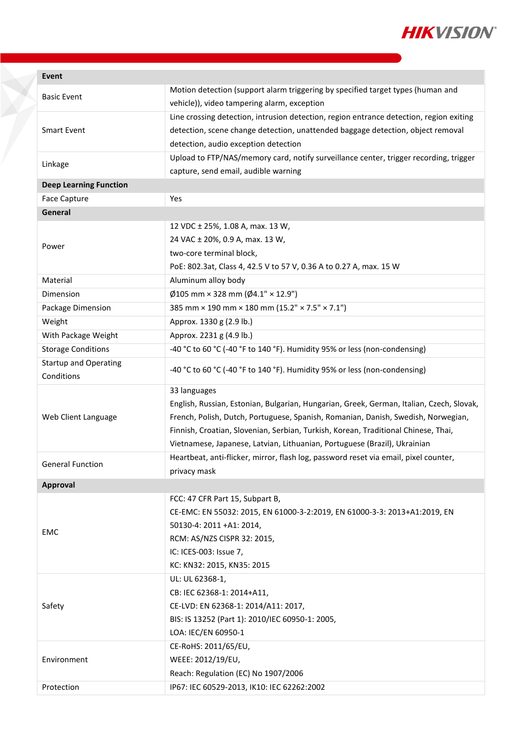

| Event                                      |                                                                                                                                |
|--------------------------------------------|--------------------------------------------------------------------------------------------------------------------------------|
| <b>Basic Event</b>                         | Motion detection (support alarm triggering by specified target types (human and<br>vehicle)), video tampering alarm, exception |
|                                            | Line crossing detection, intrusion detection, region entrance detection, region exiting                                        |
| <b>Smart Event</b>                         | detection, scene change detection, unattended baggage detection, object removal                                                |
|                                            | detection, audio exception detection                                                                                           |
|                                            | Upload to FTP/NAS/memory card, notify surveillance center, trigger recording, trigger                                          |
| Linkage                                    | capture, send email, audible warning                                                                                           |
| <b>Deep Learning Function</b>              |                                                                                                                                |
| <b>Face Capture</b>                        | Yes                                                                                                                            |
| General                                    |                                                                                                                                |
|                                            | 12 VDC ± 25%, 1.08 A, max. 13 W,                                                                                               |
|                                            | 24 VAC ± 20%, 0.9 A, max. 13 W,                                                                                                |
| Power                                      | two-core terminal block,                                                                                                       |
|                                            | PoE: 802.3at, Class 4, 42.5 V to 57 V, 0.36 A to 0.27 A, max. 15 W                                                             |
| Material                                   | Aluminum alloy body                                                                                                            |
| Dimension                                  | $\emptyset$ 105 mm × 328 mm ( $\emptyset$ 4.1" × 12.9")                                                                        |
| Package Dimension                          | 385 mm × 190 mm × 180 mm (15.2" × 7.5" × 7.1")                                                                                 |
| Weight                                     | Approx. 1330 g (2.9 lb.)                                                                                                       |
| With Package Weight                        | Approx. 2231 g (4.9 lb.)                                                                                                       |
| <b>Storage Conditions</b>                  | -40 °C to 60 °C (-40 °F to 140 °F). Humidity 95% or less (non-condensing)                                                      |
| <b>Startup and Operating</b><br>Conditions | -40 °C to 60 °C (-40 °F to 140 °F). Humidity 95% or less (non-condensing)                                                      |
|                                            | 33 languages                                                                                                                   |
|                                            | English, Russian, Estonian, Bulgarian, Hungarian, Greek, German, Italian, Czech, Slovak,                                       |
| Web Client Language                        | French, Polish, Dutch, Portuguese, Spanish, Romanian, Danish, Swedish, Norwegian,                                              |
|                                            | Finnish, Croatian, Slovenian, Serbian, Turkish, Korean, Traditional Chinese, Thai,                                             |
|                                            | Vietnamese, Japanese, Latvian, Lithuanian, Portuguese (Brazil), Ukrainian                                                      |
|                                            | Heartbeat, anti-flicker, mirror, flash log, password reset via email, pixel counter,                                           |
| <b>General Function</b>                    | privacy mask                                                                                                                   |
| Approval                                   |                                                                                                                                |
|                                            | FCC: 47 CFR Part 15, Subpart B,                                                                                                |
|                                            | CE-EMC: EN 55032: 2015, EN 61000-3-2:2019, EN 61000-3-3: 2013+A1:2019, EN                                                      |
| <b>EMC</b>                                 | 50130-4: 2011 +A1: 2014,                                                                                                       |
|                                            | RCM: AS/NZS CISPR 32: 2015,                                                                                                    |
|                                            | IC: ICES-003: Issue 7,                                                                                                         |
|                                            | KC: KN32: 2015, KN35: 2015                                                                                                     |
|                                            | UL: UL 62368-1,                                                                                                                |
|                                            | CB: IEC 62368-1: 2014+A11,                                                                                                     |
| Safety                                     | CE-LVD: EN 62368-1: 2014/A11: 2017,                                                                                            |
|                                            | BIS: IS 13252 (Part 1): 2010/IEC 60950-1: 2005,                                                                                |
|                                            | LOA: IEC/EN 60950-1                                                                                                            |
| Environment                                | CE-RoHS: 2011/65/EU,                                                                                                           |
|                                            | WEEE: 2012/19/EU,                                                                                                              |
|                                            | Reach: Regulation (EC) No 1907/2006                                                                                            |
| Protection                                 | IP67: IEC 60529-2013, IK10: IEC 62262:2002                                                                                     |
|                                            |                                                                                                                                |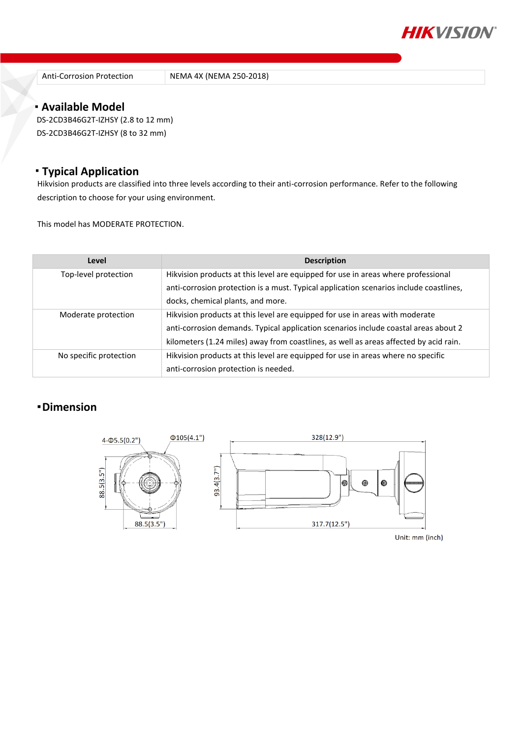

Anti-Corrosion Protection NEMA 4X (NEMA 250-2018)

#### **Available Model**

DS-2CD3B46G2T-IZHSY (2.8 to 12 mm) DS-2CD3B46G2T-IZHSY (8 to 32 mm)

## **Typical Application**

Hikvision products are classified into three levels according to their anti-corrosion performance. Refer to the following description to choose for your using environment.

This model has MODERATE PROTECTION.

| Level                  | <b>Description</b>                                                                     |
|------------------------|----------------------------------------------------------------------------------------|
| Top-level protection   | Hikvision products at this level are equipped for use in areas where professional      |
|                        | anti-corrosion protection is a must. Typical application scenarios include coastlines, |
|                        | docks, chemical plants, and more.                                                      |
| Moderate protection    | Hikvision products at this level are equipped for use in areas with moderate           |
|                        | anti-corrosion demands. Typical application scenarios include coastal areas about 2    |
|                        | kilometers (1.24 miles) away from coastlines, as well as areas affected by acid rain.  |
| No specific protection | Hikvision products at this level are equipped for use in areas where no specific       |
|                        | anti-corrosion protection is needed.                                                   |

### **Dimension**



Unit: mm (inch)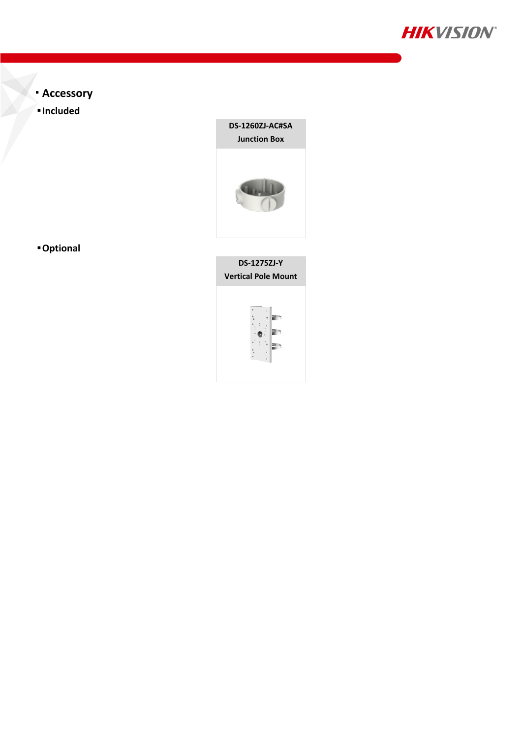

- **Accessory**
- **Included**



**Optional**